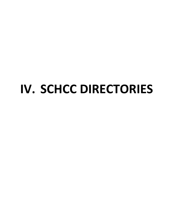## **IV. SCHCC DIRECTORIES**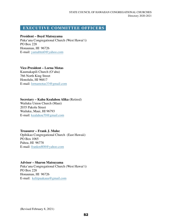#### **EXECUTIVE COMMITTEE OFFICERS**

#### **President – Boyd Matsuyama**

Puka'ana Congregational Church (West Hawai'i) PO Box 228 Honaunau, HI 96726 E-mail: [yamabtm0@yahoo.com](mailto:yamabtm0@yahoo.com)

#### **Vice-President – Lorna Motas**

Kaumakapili Church (O'ahu) 766 North King Street Honolulu, HI 96817 E-mail: [lornamotas33@gmail.com](mailto:lornamotas33@gmail.com)

#### **Secretary – Kahu Kealahou Alika** (Retired)

Wailuku Union Church (Maui) 2035 Pakolu Street Wailuku, Maui, HI 96793 E-mail: [kealahou70@gmail.com](mailto:kealahou70@gmail.com)

#### **Treasurer – Frank J. Mulec**

Opihikao Congregational Church (East Hawaii) PO Box 1065 Pahoa, HI 96778 E-mail: [frankm808@yahoo.com](mailto:frankm808@yahoo.com)

#### **Advisor – Sharon Matsuyama**

Puka'ana Congregational Church (West Hawai'i) PO Box 228 Honaunau, HI 96726 E-mail: [keliipaakaua@gmail.com](mailto:keliipaakaua@gmail.com)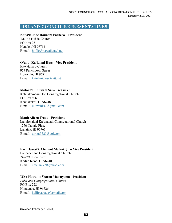#### **ISLAND COUNCIL REPRESENTATIVES**

#### **Kaua'i: Jade Haunani Pacheco – President**

Wai'oli Hui'ia Church PO Box 231 Hanalei, HI 96714 E-mail: [hpfllc@hawaiiantel.net](mailto:hpfllc@hawaiiantel.net)

#### **O'ahu: Ka'iulani Hess – Vice President**

Kawaiaha'o Church 957 Punchbowl Street Honolulu, HI 96813 E-mail: [kaiulani.hess@att.net](mailto:kaiulani.hess@att.net)

#### **Moloka'i: Uluwehi Sai – Treasurer**

Kalaiakamanu Hou Congregational Church PO Box 606 Kaunakakai, HI 96748 E-mail: [uluwehisai@gmail.com](mailto:uluwehisai@gmail.com)

#### **Maui: Aileen Trout – President**

Lahuiokalani Ka'anapali Congregational Church 1270 Nahale Place Lahaina, HI 96761 E-mail: [atrout5525@aol.com](mailto:atrout5525@aol.com)

#### **East Hawai'i: Clement Malani, Jr. – Vice President**

Laupahoehoe Congregational Church 74-229 Ililoa Street Kailua Kona, HI 96740 E-mail: [cmalani77@yahoo.com](mailto:cmalani77@yahoo.com)

#### **West Hawai'i: Sharon Matsuyama - President**

*Puka'ana Congregational Church*  PO Box 228 Honaunau, HI 96726 E-mail: [keliipaakaua@gmail.com](mailto:keliipaakaua@gmail.com)

(Revised February 8, 2021)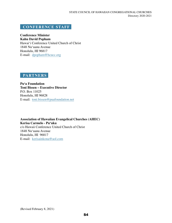#### **CONFERENCE STAFF**

**Conference Minister Kahu David Popham**  Hawai'i Conference United Church of Christ 1848 Nu'uanu Avenue Honolulu, HI 96817 E-mail: [dpopham@hcucc.org](mailto:dpopham@hcucc.org)

 **PARTNERS**

**Pu'a Foundation Toni Bissen – Executive Director**  P.O. Box 11025 Honolulu, HI 96828 E-mail: [toni.bissen@puafoundation.net](mailto:toni.bissen@puafoundation.net)

**Association of Hawaiian Evangelical Churches (AHEC) Kerisa Carmelo - Pu'uku**  c/o Hawaii Conference United Church of Christ 1848 Nu'uanu Avenue Honolulu, HI 96817 E-mail: [kerisainkona@aol.com](mailto:kerisainkona@aol.com)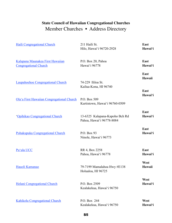#### **State Council of Hawaiian Congregational Churches** Member Churches • Address Directory

| <b>Haili Congregational Church</b>                               | 211 Haili St.<br>Hilo, Hawai'i 96720-2928                   | East<br>Hawai'i        |
|------------------------------------------------------------------|-------------------------------------------------------------|------------------------|
| Kalapana Maunakea First Hawaiian<br><b>Congregational Church</b> | P.O. Box 20, Pahoa<br>Hawai'i 96778                         | East<br>Hawai'i        |
| <b>Laupahoehoe Congregational Church</b>                         | 74-229 Ililoa St.<br>Kailua-Kona, HI 96740                  | East<br>Hawaii<br>East |
| Ola'a First Hawaiian Congregational Church                       | P.O. Box 509<br>Kurtistown, Hawai'i 96760-0509              | Hawai'i                |
| 'Opihikao Congregational Church                                  | 13-6325 Kalapana-Kapoho Bch Rd<br>Pahoa, Hawai'i 96778-8084 | East<br>Hawai'i        |
| Pohakupuka Congregational Church                                 | P.O. Box 93<br>Ninole, Hawai'i 96773                        | East<br>Hawai'i        |
| Pu'ula UCC                                                       | RR 4, Box 2258<br>Pahoa, Hawai'i 96778                      | East<br>Hawai'i        |
| Hauoli Kamanao                                                   | 79-7199 Mamalahoa Hwy #E138<br>Holualoa, HI 96725           | West<br>Hawaii         |
| <b>Helani Congregational Church</b>                              | P.O. Box 2509<br>Kealakekua, Hawai'i 96750                  | West<br>Hawai'i        |
| Kahikolu Congregational Church                                   | P.O. Box 244<br>Kealakekua, Hawai'i 96750                   | West<br>Hawai'i        |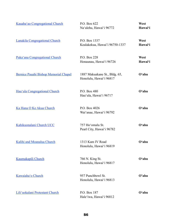| Kauaha'ao Congregational Church       | P.O. Box 622<br>Na'alehu, Hawai'i 96772                  | West<br>Hawai'i |
|---------------------------------------|----------------------------------------------------------|-----------------|
| <b>Lanakila Congregational Church</b> | P.O. Box 1337<br>Kealakekua, Hawai'i 96750-1337          | West<br>Hawai'i |
| Puka'ana Congregational Church        | P.O. Box 228<br>Honaunau, Hawai'i 96726                  | West<br>Hawai'i |
| Bernice Pauahi Bishop Memorial Chapel | 1887 Makuakane St., Bldg. 65,<br>Honolulu, Hawai'i 96817 | $O4$ ahu        |
| Hau'ula Congregational Church         | P.O. Box 480<br>Hau'ula, Hawai'i 96717                   | $O4$ ahu        |
| Ka Hana O Ke Akua Church              | P.O. Box 4026<br>Wai'anae, Hawai'i 96792                 | O'ahu           |
| Kahikuonalani Church UCC              | 757 Ho'omalu St.<br>Pearl City, Hawai'i 96782            | O'ahu           |
| Kalihi and Moanalua Church            | 1313 Kam IV Road<br>Honolulu, Hawai'i 96819              | $O4$ ahu        |
| Kaumakapili Church                    | 766 N. King St.<br>Honolulu, Hawai'i 96817               | $O4$ ahu        |
| Kawaiaha'o Church                     | 957 Punchbowl St.<br>Honolulu, Hawai'i 96813             | $O'$ ahu        |
| Lili'uokalani Protestant Church       | P.O. Box 187<br>Hale'iwa, Hawai'i 96812                  | O'ahu           |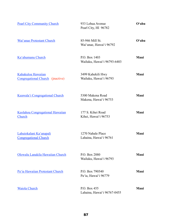| <b>Pearl City Community Church</b>                      | 933 Lehua Avenue<br>Pearl City, HI 96782     | $O4$ ahu |
|---------------------------------------------------------|----------------------------------------------|----------|
| Wai'anae Protestant Church                              | 85-946 Mill St.<br>Wai'anae, Hawai'i 96792   | $O4$ ahu |
| Ka'ahumanu Church                                       | P.O. Box 1403<br>Wailuku, Hawai'i 96793-6403 | Maui     |
| Kahakuloa Hawaiian<br>Congregational Church (jnactive)  | 3499 Kahekili Hwy<br>Wailuku, Hawai'i 96793  | Maui     |
| Keawala'i Congregational Church                         | 5300 Makena Road<br>Makena, Hawai'i 96753    | Maui     |
| <b>Keolahou Congregational Hawaiian</b><br>Church       | 177 S. Kihei Road<br>Kihei, Hawai'i 96753    | Maui     |
| Lahuiokalani Ka'anapali<br><b>Congregational Church</b> | 1270 Nahale Place<br>Lahaina, Hawai'i 96761  | Maui     |
| Olowalu Lanakila Hawaiian Church                        | P.O. Box 2880<br>Wailuku, Hawai'i 96793      | Maui     |
| Pa'ia Hawaiian Protestant Church                        | P.O. Box 790540<br>Pa'ia, Hawai'i 96779      | Maui     |
| <b>Waiola Church</b>                                    | P.O. Box 455<br>Lahaina, Hawai'i 96767-0455  | Maui     |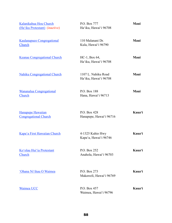| Kalanikahua Hou Church<br>(Ha'iku Protestant) (inactive) | P.O. Box 777<br>Ha'iku, Hawai'i 96708        | Maui   |
|----------------------------------------------------------|----------------------------------------------|--------|
| <b>Kaulanapueo Congregational</b><br>Church              | 110 Malanani Dr.<br>Kula, Hawai'i 96790      | Maui   |
| <b>Keanae Congregational Church</b>                      | HC-1, Box 64,<br>Ha'iku, Hawai'i 96708       | Maui   |
| <b>Nahiku Congregational Church</b>                      | 1107 L. Nahiku Road<br>Ha'iku, Hawai'i 96708 | Maui   |
| <b>Wananalua Congregational</b><br>Church                | P.O. Box 188<br>Hana, Hawai'i 96713          | Maui   |
| Hanapepe Hawaiian<br><b>Congregational Church</b>        | P.O. Box 428<br>Hanapepe, Hawai'i 96716      | Kaua'i |
| Kapa'a First Hawaiian Church                             | 4-1325 Kuhio Hwy<br>Kapa'a, Hawai'i 96746    | Kaua'i |
| Ko'olau Hui'ia Protestant<br>Church                      | P.O. Box 252<br>Anahola, Hawai'i 96703       | Kaua'i |
| 'Ohana Ni'ihau O Waimea                                  | P.O. Box 273<br>Makaweli, Hawai'i 96769      | Kaua'i |
| <b>Waimea UCC</b>                                        | P.O. Box 457<br>Waimea, Hawai'i 96796        | Kaua'i |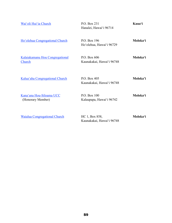| Wai'oli Hui'ia Church                         | P.O. Box 231<br>Hanalei, Hawai'i 96714      | Kaua'i   |
|-----------------------------------------------|---------------------------------------------|----------|
| Ho'olehua Congregational Church               | P.O. Box 196<br>Ho'olehua, Hawai'i 96729    | Moloka'i |
| Kalaiakamanu Hou Congregational<br>Church     | P.O. Box $606$<br>Kaunakakai, Hawai'i 96748 | Moloka'i |
| Kalua'aha Congregational Church               | P.O. Box 405<br>Kaunakakai, Hawai'i 96748   | Moloka'i |
| Kana'ana Hou-Siloama UCC<br>(Honorary Member) | P.O. Box 100<br>Kalaupapa, Hawai'i 96742    | Moloka'i |
| <b>Waialua Congregational Church</b>          | HC 1, Box 858,                              | Moloka'i |

Kaunakakai, Hawai'i 96748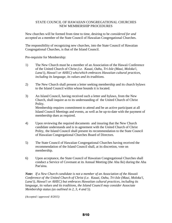#### STATE COUNCIL OF HAWAIIAN CONGREGATIONAL CHURCHES NEW MEMBERSHIP PROCEDURES

New churches will be formed from time to time, desiring to be *considered for and accepted as* a member of the State Council of Hawaiian Congregational Churches.

The responsibility of recognizing new churches, into the State Council of Hawaiian Congregational Churches, is that of the Island Council.

Pre-requisite for Membership:

- 1) The New Church must be a member of an Association of the Hawaii Conference of the United Church of Christ *(i.e. Kauai, Oahu, Tri-Isle (Maui, Moloka'i, Lana'i), Hawai'i or AHEC) who/which embraces Hawaiian cultural practices, including its language, its values and its traditions.*
- 2) The New Church shall present a letter seeking membership and its church bylaws to the Island Council within whose bounds it is located.
- 3) An Island Council, having received such a letter and bylaws, from the New Church, shall inquire as to its understanding of the United Church of Christ Polity. Membership requires commitment to attend and be an active participant at all Island Council Meetings and events, as well as be up-to-date with the payment of membership dues as required.
- 4) Upon reviewing the required documents and insuring that the New Church candidate understands and is in agreement with the United Church of Christ Polity, the Island Council shall present its recommendation to the State Council of Hawaiian Congregational Churches Board of Directors.
- 5) The State Council of Hawaiian Congregational Churches having received the recommendation of the Island Council shall, at its discretion, vote on membership.
- 6) Upon acceptance, the State Council of Hawaiian Congregational Churches shall conduct a Service of Covenant at its Annual Meeting (the Aha Iki) during the Aha Pae'aina.

*Note: If a New Church candidate is not a member of an Association of the Hawaii Conference of the United Church of Christ (i.e. Kauai, Oahu, Tri-Isle (Maui, Moloka'i, Lana'i), Hawai'i or AHEC) but embraces Hawaiian cultural practices, including its language, its values and its traditions, the Island Council may consider Associate Membership status (as outlined in 2, 3, 4 and 5).* 

*(Accepted / approved 8/2015)*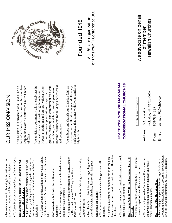· To assist churches in obtaining information on re-• To assist churches in obtaining information on resources to improve and broaden their missions. sources to improve and broaden their missions. • To foster & encourage attendance at General Synod. To foster & encourage attendance at General Synod.

## On Sustaining The Richness Of Hawaiian Tradi-**On Sustaining The Richness Of Hawaiian Tradi**tions & Cultural Values: **tions & Cultural Values:**

Pae'aina by helping to develop agenda that incorpo-*Pae`aina* by helping to develop agenda that incorpo-· To foster and encourage participation in the Aha rate cultural values & tradition & opportunities for To foster and encourage participation in the *Aha* rate cultural values & tradition & opportunities for fellowship. · To foster greater understanding of Hawaiian values, To foster greater understanding of Hawaiian values, raditions, customs & their relevance in our Christian traditions, customs & their relevance in our Christian faith.

### **On Leadership & Ministries in Hawaiian**  On Leadership & Ministries in Hawaiian Churches: **Churches:**

· To foster, encourage, and promote leadership train- To foster, encourage, and promote leadership training in Hawaiian churches. ing in Hawaiian churches.

• To administer funds entrusted to the SCHCC under To administer funds entrusted to the SCHCC under the Reverend Richard W. Wong & William the Reverend Richard W. Wong & William Keli'ihoomalu Trusts. Keli`ihoomalu Trusts.

• To assist churches in establishing and maintaining To assist churches in establishing and maintaining Church Profiles. Church Profiles.

To collect & circulate information regarding minis- To collect & circulate information regarding ministries of Hawaiian churches, their results & impact. ries of Hawaiian churches, their results & impact.

## **On Behalf Of Lokahi:** On Behalf Of Lokahi

• To promote interaction and exchange among all To promote interaction and exchange among all churches. churches.

ference on concerns, questions, and needs of Hawaiian ference on concerns, questions, and needs of Hawaiian • To serve as a channel of communication to the Con- To serve as a channel of communication to the Conchurches. churches. • To serve as a catalyst for beneficial change that could To serve as a catalyst for beneficial change that could affect all Hawaiian churches. affect all Hawaiian churches.

# **On Keeping Safe & Well Our Hawaiian Places Of**  On Keeping Safe & Well Our Hawaiian Places Of **Worship:**

• To administer funds entrusted to SCHCC for mainte- To administer funds entrusted to SCHCC for maintenance and repair of small Hawaiian churches. nance and repair of small Hawaiian churches.

• To provide input to the Conference Foundation on To provide input to the Conference Foundation on the level of funding needed to maintain and repair the level of funding needed to maintain and repair small Hawaiian churches. small Hawaiian churches.

## On Healing The Hawaiian Soul: **On Healing The Hawaiian Soul:**

promoting understanding in a process of reconciliation promoting understanding in a process of reconciliation w/in the Hawaiian community  $\&$  HCUCC churches. • To actively participate with other organizations in w/in the Hawaiian community & HCUCC churches. • To actively participate with other organizations in

# OUR MISSION/VISION OUR MISSION/VISION

Our Mission is to advocate, at all levels, on behalf of all Hawaiian churches holding member-Our Mission is to advocate, at all levels, on behalf of all Hawaiian churches holding membership in the Hawai'i Conference United Church ship in the Hawai`i Conference United Church of Christ. of Christ.

growth, leadership, and commitment for a combecome instruments for building a better world growth, leadership, and commitment for a com-We envision a community which celebrates its We envision a community which celebrates its Hawaiian traditions and cultural values; which Hawaiian traditions and cultural values; which become instruments for building a better world biblical roots while sustaining the richness of biblical roots while sustaining the richness of mon vision; and which nurtures all people to mon vision; and which nurtures all people to strives to create opportunities for spiritual strives to create opportunities for spiritual and community. and community.

seek the peace that comes with living comfortaseek the peace that comes with living comfortawe respect our cultural heritage and ultimately We embrace and cherish our Christian faith as We embrace and cherish our Christian faith as we respect our cultural heritage and ultimately bly in both. bly in both.



# Founded 1948 Founded 1948

of the Hawai`i Conference UCC of the Hawai' i Conference UCC An affiliate organization An affiliate organization

## **STATE COUNCIL OF HAWAIIAN CONGREGATIONAL CHURCHES**  STATE COUNCIL OF HAWAIIAN CONGREGATIONAL CHURCHES

Contact information: Contact information:

 Holualoa, HI 96725-0407 Holualoa, HI 96725-0407 Phone: 808-936-1385 808-936-1385 Address: P.O. Box 407 P.O. Box 407 Address: Phone:

E-mail: yamabtm0@yahoo.com yamabtm0@yahoo.com E-mail:

We advocate on behalf We advocate on behalf Hawaiian Churches Hawaiian Churches of member of member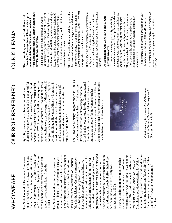| WHO WE ARE                                                                                                                                                                                                                                                                 | <b>DUR ROLE REAFFIRMED</b>                                                                                                                                                                                                                                | <b>OUR KULEANA</b>                                                                                                                                                                                                                                                                                                    |
|----------------------------------------------------------------------------------------------------------------------------------------------------------------------------------------------------------------------------------------------------------------------------|-----------------------------------------------------------------------------------------------------------------------------------------------------------------------------------------------------------------------------------------------------------|-----------------------------------------------------------------------------------------------------------------------------------------------------------------------------------------------------------------------------------------------------------------------------------------------------------------------|
| Hawai'i Conference UCC (the "HCUCC" or<br>tional Churches (the "SCHCC" or the State<br>Council") is an affiliate organization of the<br>the "Conference"). It is part of the Confer-<br>The State Council of Hawaiian Congrega-                                            | churches was down to 2,536 and in danger of fal-<br>ence of UCC churches, including the unique con-<br>Associates was hired to review the entire confer-<br>ling even further. The firm of Kramer, Miller &<br>By 1965, however, membership in Kalawina   | ways and matters that will enable them to live,<br>Hawaiian Congregational Churches is to pro-<br>The overarching role of the State Council of<br>mote the viability of Hawaiian churches in<br>develop, thrive, and grow.                                                                                            |
| ence Council with both voice and vote but<br>receives no operating funds from the<br>HCUCC                                                                                                                                                                                 | cerns of Kalawina churches. It found that Hawai-<br>ian churches were on the verge of disappearing if<br>not given consideration and assistance. Impelled                                                                                                 | the loss of the Kingdom: That earthly kingdoms<br>Lili'uokalani's parting words when she spoke of<br>We go about this role ever mindful of Queen                                                                                                                                                                      |
| ian churches that traced their historical roots<br>to the American missionary work that began<br>1948 as a loosely knit federation of Hawai-<br>The State Council was initially formed in                                                                                  | by that finding, a Hawaiian Ministry Program, in<br>coordination with the State Council, was estab-<br>lished to assist Hawaiian churches toward self<br>awareness and active participation in the total<br>ministry of the HCUCC.                        | State Council looks constantly to the path that lies<br>can be lost by inflexibility, intolerance and preju-<br>dice, as well as by being too flexible, tolerant of<br>too many wrongs, and without judgment at all<br>between these extremes.                                                                        |
| faiths in the islands. On their cornerstones<br>their churches the forerunner of Christian<br>in1820. Hawaiian was the host culture;<br>all subsequent congregations were built.<br>But over the course of time and history,                                               | The Hawaiian Ministry Program ended in 1992 as<br>the Conference re-shaped itself. In that process<br>Hawaiian culture was acknowledged and con-                                                                                                          | lowed Christianity to flourish in Hawai'i. It is that<br>The State Council believes, as did the Queen, that<br>the preservation of our heritage is essential to our<br>sense of well being. It was that heritage that al-<br>heritage which State Council honors.                                                     |
| gregational faith in Hawai'i grew in size and<br>membership in the Kalawina (Hawaiian for<br>Calvinist) churches began falling. Hawai-<br>ians felt their interests waning as the Con-                                                                                     | Church in Hawai'i and the State Council was rec-<br>firmed as the host culture for the Congregational<br>SCHCC serves as a constant reminder of the Ha-<br>waiian presence that first embraced and nurtured<br>ognized as advocate for Hawaiian churches. | Thus, respecting the devotion and commitment of<br>most in mind, specific aspects of our overarching<br>churches, and keeping the Queen's words fore-<br>na kupuna to the Christian faith and their<br>role are:                                                                                                      |
| Kalawina churches fell ever smaller in num-<br>ber and impact. A revival effort halted the<br>complexion while the congregations of<br>decline in the early 1900's, only to re-<br>surface in the 1930's.                                                                  | the Christian faith in these islands.                                                                                                                                                                                                                     | sense of covenantal relationships in ministries and<br>On Nourishing Our Christian Faith & Our<br>· To convey, at every opportunity, an abiding<br><b>Spiritual Growth:</b>                                                                                                                                           |
| churches at the Aha Pae'aina to voice their<br>mana'o. This coalition was formally organ-<br>Churches to provide leadership for Kalaw-<br>In 1948, a coalition of Hawaiian churches<br>successfully sought a venue for Kalawina<br>ized in 1952 as the Council of Hawaiian | aposacy                                                                                                                                                                                                                                                   | interacting with other churches, the Conference,<br>They are the backbone of our faith, our mana'o<br>loving people to Creator, Church, community,<br>form the basis for our faith journey with God.<br>'i'o. They are the promises we make as God-<br>and the National Church. These relationships<br>and ourselves. |
| ina churches, promote their work, and main-<br>Council was eventually re-named the State<br>tain their great interest in fellowship. The<br>Council of Hawaiian Congregational<br>Churches.                                                                                | 60th Anniversary Commemorative Publication of<br>the State Council of Hawaiian Congregational<br>Churches 1948 to 2008                                                                                                                                    | . To foster and encourage active participation on<br>· To encourage and promote participation in Our<br>Church's Wider Mission (OCWM) ministry.<br>mission teams and governing bodies of the<br><b>HCUCC</b>                                                                                                          |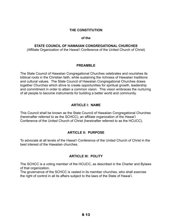#### **THE CONSTITUTION**

#### **of the**

#### **STATE COUNCIL OF HAWAIIAN CONGREGATIONAL CHURCHES**

(Affiliate Organization of the Hawaiʻi Conference of the United Church of Christ)

#### **PREAMBLE**

The State Council of Hawaiian Congregational Churches celebrates and nourishes its biblical roots in the Christian faith, while sustaining the richness of Hawaiian traditions and cultural values. The State Council of Hawaiian Congregational Churches draws together Churches which strive to create opportunities for spiritual growth, leadership and commitment in order to attain a common vision. This vision embraces the nurturing of all people to become instruments for building a better world and community.

#### **ARTICLE I: NAME**

This Council shall be known as the State Council of Hawaiian Congregational Churches (hereinafter referred to as the SCHCC), an affiliate organization of the Hawaiʻi Conference of the United Church of Christ (hereinafter referred to as the HCUCC).

#### **ARTICLE II: PURPOSE**

To advocate at all levels of the Hawaiʻi Conference of the United Church of Christ in the best interest of the Hawaiian churches.

#### **ARTICLE III: POLITY**

The SCHCC is a voting member of the HCUCC, as described in the Charter and Bylaws of that organization.

The governance of the SCHCC is vested in its member churches, who shall exercise the right of control in all its affairs subject to the laws of the State of Hawaiʻi.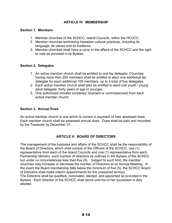#### **ARTICLE IV: MEMBERSHIP**

#### **Section 1. Members**

- 1. Member churches of the SCHCC; Island Councils, within the HCUCC.
- 2. Member churches embracing Hawaiian cultural practices, including its language, its values and its traditions.
- 3. Member churches shall have a voice in the affairs of the SCHCC and the right to vote as provided in its Bylaws.

#### **Section 2. Delegates**

- 1. An active member church shall be entitled to one lay delegate. Churches having more than 200 members shall be entitled to elect one additional lay delegate for each additional 100 members, up to a total of five delegates.
- 2. Each active member church shall also be entitled to elect one youth / young adult delegate, thirty years of age or younger.
- 3. One authorized minister (ordained, licensed or commissioned) from each active member church.

#### **Section 3. Annual Dues**

An active member church is one which is current in payment of their assessed dues. Each member church shall be assessed annual dues. Dues shall be paid and recorded by the Treasurer by December 31.

#### **ARTICLE V: BOARD OF DIRECTORS**

The management of the business and affairs of the SCHCC shall be the responsibility of the Board of Directors, which shall consist of the Officers of the SCHCC, one (1) representative from each of the Island Councils and one (1) representative from each Partnership Ministry; such number of directors as outlined in the Bylaws of the SCHCC but under no circumstances less than five (5). Subject to such limit, the member churches may increase or decrease the number of Directors at an Annual Meeting. In the event the Board membership falls below the minimum of five (5), the SCHCC Board of Directors shall make interim appointments for the unexpired term(s). The Directors shall be qualified, nominated, elected, and appointed as provided in the

Bylaws. Each Director of the SCHCC shall serve until his or her successor is duly elected.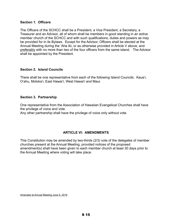#### **Section 1. Officers**

The Officers of the SCHCC shall be a President, a Vice President, a Secretary, a Treasurer and an Advisor, all of whom shall be members in good standing in an active member church of the SCHCC and with such qualifications, duties and powers as may be provided for in its Bylaws. Except for the Advisor, Officers shall be elected at the Annual Meeting during the ʻAha Iki, or as otherwise provided in Article V above, and preferably with no more than two of the four officers from the same island. The Advisor shall be appointed by the President.

#### **Section 2. Island Councils**

There shall be one representative from each of the following Island Councils: Kauaʻi, Oʻahu, Molokaʻi, East Hawaiʻi, West Hawaiʻi and Maui.

#### **Section 3. Partnership**

One representative from the Association of Hawaiian Evangelical Churches shall have the privilege of voice and vote.

Any other partnership shall have the privilege of voice only without vote.

#### **ARTICLE VI: AMENDMENTS**

This Constitution may be amended by two-thirds (2/3) vote of the delegates of member churches present at the Annual Meeting, provided notices of the proposed amendment(s) shall have been given to each member church at least 30 days prior to the Annual Meeting where voting will take place.

Amended at Annual Meeting June 5, 2019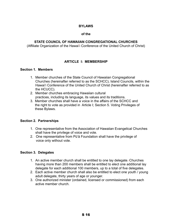#### **BYLAWS**

#### **of the**

#### **STATE COUNCIL OF HAWAIIAN CONGREGATIONAL CHURCHES**

(Affiliate Organization of the Hawaiʻi Conference of the United Church of Christ)

#### **ARTICLE I: MEMBERSHIP**

#### **Section 1. Members**

- 1. Member churches of the State Council of Hawaiian Congregational Churches (hereinafter referred to as the SCHCC), Island Councils, within the Hawaiʻi Conference of the United Church of Christ (hereinafter referred to as the HCUCC).
- 2. Member churches embracing Hawaiian cultural practices, including its language, its values and its traditions.
- 3. Member churches shall have a voice in the affairs of the SCHCC and the right to vote as provided in Article I; Section 5. Voting Privileges of these Bylaws.

#### **Section 2. Partnerships**

- 1. One representative from the Association of Hawaiian Evangelical Churches shall have the privilege of voice and vote.
- 2. One representative from Pūʻā Foundation shall have the privilege of voice only without vote.

#### **Section 3. Delegates**

- 1. An active member church shall be entitled to one lay delegate. Churches having more than 200 members shall be entitled to elect one additional lay delegate for each additional 100 members, up to a total of five delegates.
- 2. Each active member church shall also be entitled to elect one youth / young adult delegate, thirty years of age or younger.
- 3. One authorized minister (ordained, licensed or commissioned) from each active member church.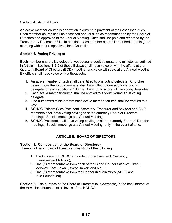#### **Section 4. Annual Dues**

An active member church is one which is current in payment of their assessed dues. Each member church shall be assessed annual dues as recommended by the Board of Directors and approved at the Annual Meeting. Dues shall be paid and recorded by the Treasurer by December 31. In addition, each member church is required to be in good standing with their respective Island Councils.

#### **Section 5. Voting Privileges**

Each member church, lay delegate, youth/young adult delegate and minister as outlined in Article 1, Sections 1 & 2 of these Bylaws shall have voice only in the affairs at the Quarterly Board of Directors (BOD) meeting, and voice with vote at the Annual Meeting. Ex-officio shall have voice only without vote.

- 1. An active member church shall be entitled to one voting delegate. Churches having more than 200 members shall be entitled to one additional voting delegate for each additional 100 members, up to a total of five voting delegates.
- 2. Each active member church shall be entitled to a youth/young adult voting delegate.
- 3. One authorized minister from each active member church shall be entitled to a vote.
- 4. SCHCC Officers (Vice President, Secretary, Treasurer and Advisor) and BOD members shall have voting privileges at the quarterly Board of Directors meetings, Special meetings and Annual Meeting.
- 5. SCHCC President shall have voting privileges at the quarterly Board of Directors meetings, Special meetings and Annual Meeting, only in the event of a tie.

#### **ARTICLE II: BOARD OF DIRECTORS**

#### **Section 1. Composition of the Board of Directors -**

There shall be a Board of Directors consisting of the following:

- 1. The Officers of SCHCC (President, Vice President, Secretary, Treasurer and Advisor);
- 2. One (1) representative from each of the Island Councils (Kaua ʻi, Oʻahu, Molokaʻi, East Hawaiʻi, West Hawaiʻi and Maui);
- 3. One (1) representative from the Partnership Ministries (AHEC and Pūʻā Foundation).

**Section 2.** The purpose of the Board of Directors is to advocate, in the best interest of the Hawaiian churches, at all levels of the HCUCC.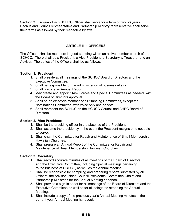**Section 3. Tenure** - Each SCHCC Officer shall serve for a term of two (2) years. Each Island Council representative and Partnership Ministry representative shall serve their terms as allowed by their respective bylaws.

#### **ARTICLE III : OFFICERS**

The Officers shall be members in good standing within an active member church of the SCHCC. There shall be a President, a Vice President, a Secretary, a Treasurer and an Advisor. The duties of the Officers shall be as follows:

#### **Section 1. President:**

- 1. Shall preside at all meetings of the SCHCC Board of Directors and the Executive Committee.
- 2. Shall be responsible for the administration of business affairs.
- 3. Shall prepare an Annual Report
- 4. May create and appoint Task Forces and Special Committees as needed, with the Board of Directors approval.
- 5. Shall be an ex-officio member of all Standing Committees, except the Nominations Committee, with voice only and no vote.
- 6. Shall represent the SCHCC on the HCUCC Council and AHEC Board of Directors.

#### **Section 2. Vice President:**

- 1. Shall be the presiding officer in the absence of the President.
- 2. Shall assume the presidency in the event the President resigns or is not able to serve.
- 3. Shall chair the Committee for Repair and Maintenance of Small Membership Hawaiian Churches.
- 4. Shall prepare an Annual Report of the Committee for Repair and Maintenance of Small Membership Hawaiian Churches.

#### **Section 3. Secretary:**

- 1. Shall record accurate minutes of all meetings of the Board of Directors and the Executive Committee, including Special meetings pertaining to the business of SCHCC, as well as the Annual meeting.
- 2. Shall be responsible for compiling and preparing reports submitted by all Officers, the Advisor, Island Council Presidents, Committee Chairs and Partnership Ministries for the Annual Meeting handbook.
- 3. Shall provide a sign-in sheet for all meetings of the Board of Directors and the Executive Committee as well as for all delegates attending the Annual Meeting.
- 4. Shall include a copy of the previous year's Annual Meeting minutes in the current year Annual Meeting handbook.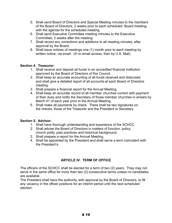- 5. Shall send Board of Directors and Special Meeting minutes to the members of the Board of Directors, 2 weeks prior to each scheduled Board meeting, with the agenda for the scheduled meeting.
- 6. Shall send Executive Committee meeting minutes to the Executive Committee, 2 weeks after the meeting.
- 7. Shall record any corrections and additions to all meeting minutes, after approval by the Board.
- 8. Shall issue notices of meetings one (1) month prior to each meeting by written notice, via email. (If no email access, then by U.S. Mail)

#### **Section 4. Treasurer:**

- 1. Shall receive and deposit all funds in an accredited financial institution approved by the Board of Directors of this Council.
- 2. Shall keep an accurate accounting of all funds received and disbursed and shall give a detailed report of all accounts-at each Board of Directors meeting.
- 3. Shall prepare a financial report for the Annual Meeting.
- 4. Shall keep an accurate record of all member churches current with payment of their dues and notify the Secretary of those member churches in arrears by March 01 of each year prior to the Annual Meeting.
- 5. Shall make all payments by check. There shall be two signatures on the checks, those of the Treasurer and the President or Secretary.

#### **Section 5. Advisor:**

- 1. Shall have thorough understanding and experience of the SCHCC.
- 2. Shall advise the Board of Directors in matters of function, policy, church polity, past practices and historical background.
- 3. Shall prepare a report for the Annual Meeting.
- 4. Shall be appointed by the President and shall serve a term coincident with the President's.

#### **ARTICLE IV: TERM OF OFFICE**

The officers of the SCHCC shall be elected for a term of two (2) years. They may not serve in the same office for more than two (2) consecutive terms unless no candidates are available.

The President shall have the authority, with approval by the Board of Directors, to fill any vacancy in the officer positions for an interim period until the next scheduled election.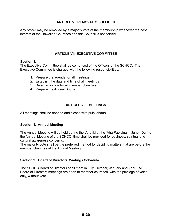#### **ARTICLE V: REMOVAL OF OFFICER**

Any officer may be removed by a majority vote of the membership whenever the best interest of the Hawaiian Churches and this Council is not served.

#### **ARTICLE VI: EXECUTIVE COMMITTEE**

#### **Section 1.**

The Executive Committee shall be comprised of the Officers of the SCHCC. The Executive Committee is charged with the following responsibilities:

- 1. Prepare the agenda for all meetings
- 2. Establish the date and time of all meetings
- 3. Be an advocate for all member churches
- 4. Prepare the Annual Budget

#### **ARTICLE VII: MEETINGS**

All meetings shall be opened and closed with pule ʻohana.

#### **Section 1. Annual Meeting**

The Annual Meeting will be held during the ʻAha Iki at the ʻAha Paeʻaina in June. During the Annual Meeting of the SCHCC, time shall be provided for business, spiritual and cultural awareness concerns.

The majority vote shall be the preferred method for deciding matters that are before the member churches at the Annual Meeting.

#### **Section 2. Board of Directors Meetings Schedule**

The SCHCC Board of Directors shall meet in July, October, January and April. All Board of Directors meetings are open to member churches, with the privilege of voice only, without vote.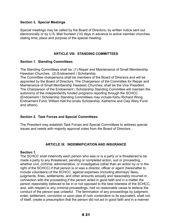#### **Section 3. Special Meetings**

Special meetings may be called by the Board of Directors, by written notice sent out electronically or by U.S. Mail fourteen (14) days in advance to active member churches, stating time, place and purpose of the special meeting.

#### **ARTICLE VIII: STANDING COMMITTEES**

#### **Section 1. Standing Committees**

The Standing Committees shall be: (1) Repair and Maintenance of Small Membership Hawaiian Churches. (2) Endowment / Scholarship.

The Committee chairpersons shall be members of the Board of Directors and will be appointed by the Board of Directors. The Chairperson of the Committee for Repair and Maintenance of Small Membership Hawaiian Churches, shall be the Vice President. The Chairperson of the Endowment / Scholarship Standing Committee will maintain the autonomy of the independently funded programs reporting through the SCHCC. (Endowment / Scholarship Standing Committees may include Kahu Richard Wong Endowment Fund, William Keliʻihoʻomalu Scholarship, Katherine and Clay Wery Fund and others).

#### **Section 2. Task Forces and Special Committees:**

The President may establish Task Forces and Special Committees to address special issues and needs with majority approval votes from the Board of Directors.

#### **ARTICLE IX: INDEMNIFICATION AND INSURANCE**

#### **Section 1.**

The SCHCC shall indemnify each person who was or is a party or is threatened to be made a party to any threatened, pending or completed action, suit or proceeding, whether civil, criminal, administrative, or investigative (other than an action by or in the right of the SCHCC) if that person is or was a director, officer or agent (hereinafter to include volunteers) of the SCHCC, against expenses (including attorneys' fees), judgments, fines, settlements, and other amounts actually and reasonably incurred in connection with the proceeding if the person acted in good faith and in a matter the person reasonably believed to be in or not opposed to the best interests of the SCHCC, and, with respect to any criminal proceedings, had no reasonable cause to believe the conduct of the person was unlawful. The termination of any proceedings by judgment, order, settlement, conviction or upon plea of *nolo contendere* or its equivalent, shall not, of itself, create a presumption that the person did not act in good faith and in a manner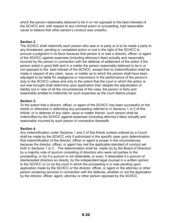which the person reasonably believed to be in or not opposed to the best interests of the SCHCC and, with respect to any criminal action or proceeding, had reasonable cause to believe that other person's conduct was unlawful.

#### **Section 2.**

The SCHCC shall indemnify each person who was or is party or is to be made a party to any threatened, pending or completed action or suit in the right of the SCHCC to procure a judgment in its favor because that person is or was a director, officer, or agent of the SCHCC against expenses (including attorney's fees) actually and reasonably incurred by the person in connection with the defense of settlement of the action if the person acted in good faith and in a matter the person reasonably believed to be in or not opposed to the best interest of the SCHCC, except that no indemnification shall be made in respect of any claim, issue, or matter as to which the person shall have been adjudged to be liable for negligence or misconduct in the performance of the person's duty to the SCHCC unless and only to the extent that the court in which the action or suit was brought shall determine upon application that, despite the adjudication of liability but in view of all the circumstances of the case, the person is fairly and reasonably entitled to indemnity for such expenses as the court deems proper.

#### **Section 3.**

To the extent that a director, officer, or agent of the SCHCC has been successful on the merits or otherwise in defending any proceeding referred to in Sections 1 or 2 of this Article, or in defense of any claim, issue or matter therein, such person shall be indemnified by the SCHCC against expenses (including attorney's fees) actually and reasonably incurred by such person in connection therewith.

#### **Section 4.**

Any indemnification under Sections 1 and 2 of this Article (unless ordered by a Court) shall be made by the SCHCC only if authorized in the specific case upon determination that indemnification of the director, officer or agent is proper in the circumstances because the director, officer, or agent has met the applicable standard of conduct set forth in Sections 1 or 2.. The determination shall be made (a) by the Board of Directors by a majority vote of quorum consisting of directors who were not parties to the proceeding, or (b) if a quorum is not obtainable, or even, if obtainable if a quorum of disinterested directors so directs, by the independent legal counsel in a written opinion to the SCHCC or (c) by the court in which the proceeding is or was pending upon application made by the SCHCC or the director, officer, or agent or the attorney or other person rendering services in connection with the defense, whether or not the application by the director, officer, agent, attorney or other person opposed by the SCHCC.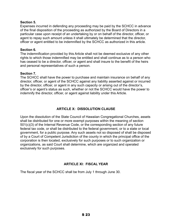#### **Section 5.**

Expenses incurred in defending any proceeding may be paid by the SCHCC in advance of the final disposition of the proceeding as authorized by the Board of Directors in a particular case upon receipt of an undertaking by or on behalf of the director, officer, or agent to repay such amount unless it shall ultimately be determined that the director, officer or agent entitled to be indemnified by the SCHCC as authorized in this article.

#### **Section 6.**

The indemnification provided by this Article shall not be deemed exclusive of any other rights to which those indemnified may be entitled and shall continue as to a person who has ceased to be a director, officer, or agent and shall insure to the benefit of the heirs and personal representatives of such a person.

#### **Section 7.**

The SCHCC shall have the power to purchase and maintain insurance on behalf of any director, officer, or agent of the SCHCC against any liability asserted against or incurred by the director, officer, or agent in any such capacity or arising out of the director's, officer's or agent's status as such, whether or not the SCHCC would have the power to indemnify the director, officer, or agent against liability under this Article.

#### **ARTICLE X: DISSOLUTION CLAUSE**

Upon the dissolution of the State Council of Hawaiian Congregational Churches, assets shall be distributed for one or more exempt purposes within the meaning of section 501(c)(3) of the Internal Revenue Code, or the corresponding section of any future federal tax code, or shall be distributed to the federal government, or to a state or local government, for a public purpose. Any such assets not so disposed of shall be disposed of by a Court of Competent Jurisdiction of the county in which the principal office of the corporation is then located, exclusively for such purposes or to such organization or organizations, as said Court shall determine, which are organized and operated exclusively for such purposes.

#### **ARTICLE XI: FISCAL YEAR**

The fiscal year of the SCHCC shall be from July 1 through June 30.